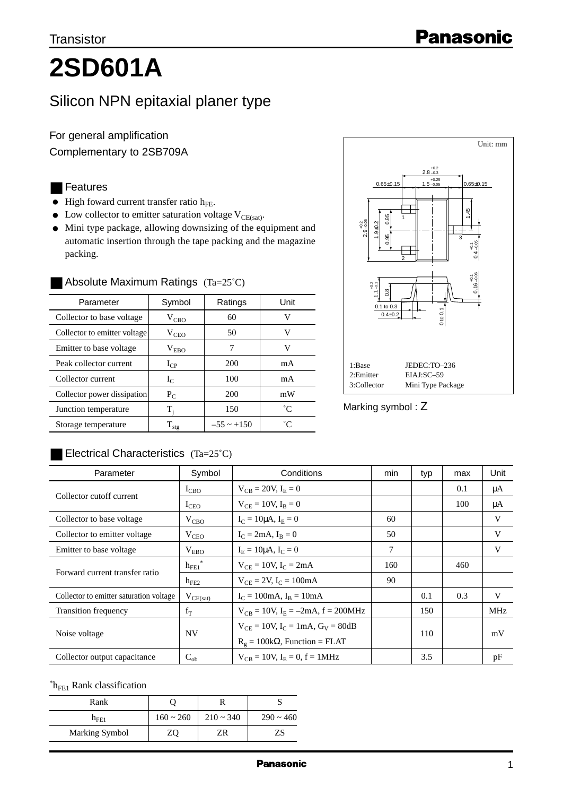# **2SD601A**

## Silicon NPN epitaxial planer type

For general amplification Complementary to 2SB709A

### ■ Features

- $\bullet$  High foward current transfer ratio  $h_{FE}$ .
- Low collector to emitter saturation voltage  $V_{CE(sat)}$ .
- Mini type package, allowing downsizing of the equipment and automatic insertion through the tape packing and the magazine packing.

| Parameter                    | Symbol            | Ratings         | Unit |
|------------------------------|-------------------|-----------------|------|
| Collector to base voltage    | $V_{CBO}$         | 60              | v    |
| Collector to emitter voltage | $V_{CEO}$         | 50              | V    |
| Emitter to base voltage      | $V_{EBO}$         | 7               | V    |
| Peak collector current       | $I_{CP}$          | 200             | mA   |
| Collector current            | $I_{C}$           | 100             | mA   |
| Collector power dissipation  | $P_C$             | 200             | mW   |
| Junction temperature         | T,                | 150             | °C   |
| Storage temperature          | $\rm T_{\rm stg}$ | $-55 \sim +150$ | °Γ   |

#### Absolute Maximum Ratings  $(Ta=25^{\circ}C)$



Marking symbol : Z

#### $\blacksquare$  Electrical Characteristics  $(Ta=25^{\circ}C)$

| Parameter                               | Symbol           | Conditions                                   | min | typ | max | Unit       |
|-----------------------------------------|------------------|----------------------------------------------|-----|-----|-----|------------|
| Collector cutoff current                | $I_{CBO}$        | $V_{CR} = 20V, I_F = 0$                      |     |     | 0.1 | μA         |
|                                         | $I_{\rm CEO}$    | $V_{CF} = 10V, I_R = 0$                      |     |     | 100 | μA         |
| Collector to base voltage               | $V_{CBO}$        | $I_C = 10 \mu A$ , $I_E = 0$                 | 60  |     |     | V          |
| Collector to emitter voltage            | $V_{CEO}$        | $I_C = 2mA$ , $I_R = 0$                      | 50  |     |     | V          |
| Emitter to base voltage                 | V <sub>EBO</sub> | $I_F = 10 \mu A$ , $I_C = 0$                 | 7   |     |     | V          |
| Forward current transfer ratio          | $h_{FE1}$        | $V_{CF} = 10V$ , $I_C = 2mA$                 | 160 |     | 460 |            |
|                                         | $h_{FE2}$        | $V_{CF} = 2V$ , $I_C = 100mA$                | 90  |     |     |            |
| Collector to emitter saturation voltage | $V_{CE(sat)}$    | $I_C = 100 \text{mA}$ , $I_B = 10 \text{mA}$ |     | 0.1 | 0.3 | V          |
| <b>Transition frequency</b>             | $f_T$            | $V_{CR} = 10V$ , $I_E = -2mA$ , $f = 200MHz$ |     | 150 |     | <b>MHz</b> |
| Noise voltage                           | <b>NV</b>        | $V_{CF} = 10V$ , $I_C = 1mA$ , $G_V = 80dB$  |     |     |     |            |
|                                         |                  | $R_{\sigma} = 100k\Omega$ , Function = FLAT  |     | 110 |     | mV         |
| Collector output capacitance            | $C_{ob}$         | $V_{CB} = 10V$ , $I_E = 0$ , $f = 1MHz$      |     | 3.5 |     | pF         |

 ${}^*h_{FE1}$  Rank classification

| Rank           |                |                |                |
|----------------|----------------|----------------|----------------|
| $n_{FE1}$      | $160 \sim 260$ | $210 \sim 340$ | $290 \sim 460$ |
| Marking Symbol | ZΟ             | ΖR             | 7S             |